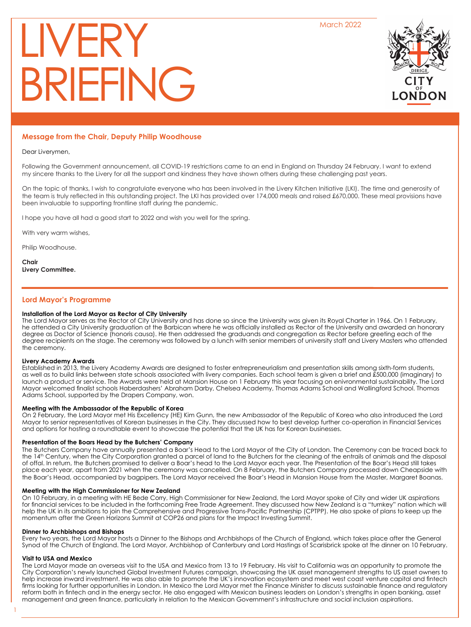March 2022

# LIVERY BRIEFING



# **Message from the Chair, Deputy Philip Woodhouse**

## Dear Liverymen,

Following the Government announcement, all COVID-19 restrictions came to an end in England on Thursday 24 February. I want to extend my sincere thanks to the Livery for all the support and kindness they have shown others during these challenging past years.

On the topic of thanks, I wish to congratulate everyone who has been involved in the Livery Kitchen Initiative (LKI). The time and generosity of the team is truly reflected in this outstanding project. The LKI has provided over 174,000 meals and raised £670,000. These meal provisions have been invaluable to supporting frontline staff during the pandemic.

I hope you have all had a good start to 2022 and wish you well for the spring.

With very warm wishes,

Philip Woodhouse.

**Chair Livery Committee.**

# **Lord Mayor's Programme**

#### **Installation of the Lord Mayor as Rector of City University**

The Lord Mayor serves as the Rector of City University and has done so since the University was given its Royal Charter in 1966. On 1 February, he attended a City University graduation at the Barbican where he was officially installed as Rector of the University and awarded an honorary degree as Doctor of Science (honoris causa). He then addressed the graduands and congregation as Rector before greeting each of the degree recipients on the stage. The ceremony was followed by a lunch with senior members of university staff and Livery Masters who attended the ceremony.

# **Livery Academy Awards**

Established in 2013, the Livery Academy Awards are designed to foster entrepreneurialism and presentation skills among sixth-form students, as well as to build links between state schools associated with livery companies. Each school team is given a brief and £500,000 (imaginary) to launch a product or service. The Awards were held at Mansion House on 1 February this year focusing on enivronmental sustainability. The Lord Mayor welcomed finalist schools Haberdashers' Abraham Darby, Chelsea Academy, Thomas Adams School and Wallingford School. Thomas Adams School, supported by the Drapers Company, won.

# **Meeting with the Ambassador of the Republic of Korea**

On 2 February, the Lord Mayor met His Excellency (HE) Kim Gunn, the new Ambassador of the Republic of Korea who also introduced the Lord Mayor to senior representatives of Korean businesses in the City. They discussed how to best develop further co-operation in Financial Services and options for hosting a roundtable event to showcase the potential that the UK has for Korean businesses.

# **Presentation of the Boars Head by the Butchers' Company**

The Butchers Company have annually presented a Boar's Head to the Lord Mayor of the City of London. The Ceremony can be traced back to the 14<sup>th</sup> Century, when the City Corporation granted a parcel of land to the Butchers for the cleaning of the entrails of animals and the disposal of offal. In return, the Butchers promised to deliver a Boar's head to the Lord Mayor each year. The Presentation of the Boar's Head still takes place each year, apart from 2021 when the ceremony was cancelled. On 8 February, the Butchers Company processed down Cheapside with the Boar's Head, accompanied by bagpipers. The Lord Mayor received the Boar's Head in Mansion House from the Master, Margaret Boanas.

# **Meeting with the High Commissioner for New Zealand**

On 10 February, in a meeting with HE Bede Corry, High Commissioner for New Zealand, the Lord Mayor spoke of City and wider UK aspirations for financial services to be included in the forthcoming Free Trade Agreement. They discussed how New Zealand is a "turnkey" nation which will help the UK in its ambitions to join the Comprehensive and Progressive Trans-Pacific Partnership (CPTPP). He also spoke of plans to keep up the momentum after the Green Horizons Summit at COP26 and plans for the Impact Investing Summit.

#### **Dinner to Archbishops and Bishops**

Every two years, the Lord Mayor hosts a Dinner to the Bishops and Archbishops of the Church of England, which takes place after the General Synod of the Church of England. The Lord Mayor, Archbishop of Canterbury and Lord Hastings of Scarisbrick spoke at the dinner on 10 February.

# **Visit to USA and Mexico**

1

The Lord Mayor made an overseas visit to the USA and Mexico from 13 to 19 February. His visit to California was an opportunity to promote the City Corporation's newly launched Global Investment Futures campaign, showcasing the UK asset management strengths to US asset owners to help increase inward investment. He was also able to promote the UK's innovation ecosystem and meet west coast venture capital and fintech firms looking for further opportunities in London. In Mexico the Lord Mayor met the Finance Minister to discuss sustainable finance and regulatory reform both in fintech and in the energy sector. He also engaged with Mexican business leaders on London's strengths in open banking, asset management and green finance, particularly in relation to the Mexican Government's infrastructure and social inclusion aspirations.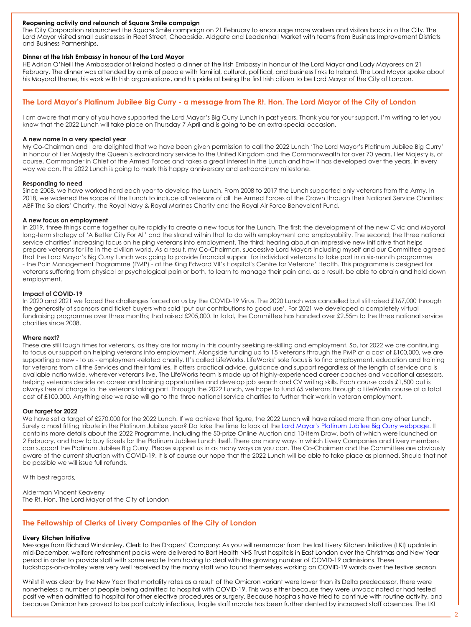## **Reopening activity and relaunch of Square Smile campaign**

The City Corporation relaunched the Square Smile campaign on 21 February to encourage more workers and visitors back into the City. The Lord Mayor visited small businesses in Fleet Street, Cheapside, Aldgate and Leadenhall Market with teams from Business Improvement Districts and Business Partnerships.

## **Dinner at the Irish Embassy in honour of the Lord Mayor**

HE Adrian O'Neill the Ambassador of Ireland hosted a dinner at the Irish Embassy in honour of the Lord Mayor and Lady Mayoress on 21 February. The dinner was attended by a mix of people with familial, cultural, political, and business links to Ireland. The Lord Mayor spoke about his Mayoral theme, his work with Irish organisations, and his pride at being the first Irish citizen to be Lord Mayor of the City of London.

# **The Lord Mayor's Platinum Jubilee Big Curry - a message from The Rt. Hon. The Lord Mayor of the City of London**

I am aware that many of you have supported the Lord Mayor's Big Curry Lunch in past years. Thank you for your support. I'm writing to let you know that the 2022 Lunch will take place on Thursday 7 April and is going to be an extra-special occasion.

#### **A new name in a very special year**

My Co-Chairman and I are delighted that we have been given permission to call the 2022 Lunch 'The Lord Mayor's Platinum Jubilee Big Curry' in honour of Her Majesty the Queen's extraordinary service to the United Kingdom and the Commonwealth for over 70 years. Her Majesty is, of course, Commander in Chief of the Armed Forces and takes a great interest in the Lunch and how it has developed over the years. In every way we can, the 2022 Lunch is going to mark this happy anniversary and extraordinary milestone.

#### **Responding to need**

Since 2008, we have worked hard each year to develop the Lunch. From 2008 to 2017 the Lunch supported only veterans from the Army. In 2018, we widened the scope of the Lunch to include all veterans of all the Armed Forces of the Crown through their National Service Charities: ABF The Soldiers' Charity, the Royal Navy & Royal Marines Charity and the Royal Air Force Benevolent Fund.

# **A new focus on employment**

In 2019, three things came together quite rapidly to create a new focus for the Lunch. The first; the development of the new Civic and Mayoral long-term strategy of 'A Better City For All' and the strand within that to do with employment and employability. The second; the three national service charities' increasing focus on helping veterans into employment. The third; hearing about an impressive new initiative that helps prepare veterans for life in the civilian world. As a result, my Co-Chairman, successive Lord Mayors including myself and our Committee agreed that the Lord Mayor's Big Curry Lunch was going to provide financial support for individual veterans to take part in a six-month programme - the Pain Management Programme (PMP) - at the King Edward VII's Hospital's Centre for Veterans' Health. This programme is designed for veterans suffering from physical or psychological pain or both, to learn to manage their pain and, as a result, be able to obtain and hold down employment.

#### **Impact of COVID-19**

In 2020 and 2021 we faced the challenges forced on us by the COVID-19 Virus. The 2020 Lunch was cancelled but still raised £167,000 through the generosity of sponsors and ticket buyers who said 'put our contributions to good use'. For 2021 we developed a completely virtual fundraising programme over three months; that raised £205,000. In total, the Committee has handed over £2.55m to the three national service charities since 2008.

#### **Where next?**

These are still tough times for veterans, as they are for many in this country seeking re-skilling and employment. So, for 2022 we are continuing to focus our support on helping veterans into employment. Alongside funding up to 15 veterans through the PMP at a cost of £100,000, we are supporting a new - to us - employment-related charity. It's called LifeWorks. LifeWorks' sole focus is to find employment, education and training for veterans from all the Services and their families. It offers practical advice, guidance and support regardless of the length of service and is available nationwide, wherever veterans live. The LifeWorks team is made up of highly-experienced career coaches and vocational assessors, helping veterans decide on career and training opportunities and develop job search and CV writing skills. Each course costs £1,500 but is always free of charge to the veterans taking part. Through the 2022 Lunch, we hope to fund 65 veterans through a LifeWorks course at a total cost of £100,000. Anything else we raise will go to the three national service charities to further their work in veteran employment.

# **Our target for 2022**

We have set a target of £270,000 for the 2022 Lunch. If we achieve that figure, the 2022 Lunch will have raised more than any other Lunch. Surely a most fitting tribute in the Platinum Jubilee year? Do take the time to look at the Lord Mayor's Platinum Jubilee Big Curry webpage. It contains more details about the 2022 Programme, including the 50-prize Online Auction and 10-item Draw, both of which were launched on 2 February, and how to buy tickets for the Platinum Jubilee Lunch itself. There are many ways in which Livery Companies and Livery members can support the Platinum Jubilee Big Curry. Please support us in as many ways as you can. The Co-Chairmen and the Committee are obviously aware of the current situation with COVID-19. It is of course our hope that the 2022 Lunch will be able to take place as planned. Should that not be possible we will issue full refunds.

With best regards,

Alderman Vincent Keaveny The Rt. Hon. The Lord Mayor of the City of London

# **The Fellowship of Clerks of Livery Companies of the City of London**

#### **Livery Kitchen Initiative**

Message from Richard Winstanley, Clerk to the Drapers' Company: As you will remember from the last Livery Kitchen Initiative (LKI) update in mid-December, welfare refreshment packs were delivered to Bart Health NHS Trust hospitals in East London over the Christmas and New Year period in order to provide staff with some respite from having to deal with the growing number of COVID-19 admissions. These tuckshops-on-a-trolley were very well received by the many staff who found themselves working on COVID-19 wards over the festive season.

Whilst it was clear by the New Year that mortality rates as a result of the Omicron variant were lower than its Delta predecessor, there were nonetheless a number of people being admitted to hospital with COVID-19. This was either because they were unvaccinated or had tested positive when admitted to hospital for other elective procedures or surgery. Because hospitals have tried to continue with routine activity, and because Omicron has proved to be particularly infectious, fragile staff morale has been further dented by increased staff absences. The LKI